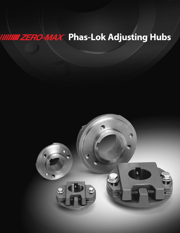## **INNIN ZERO-MAX<sup>®</sup> Phas-Lok Adjusting Hubs**